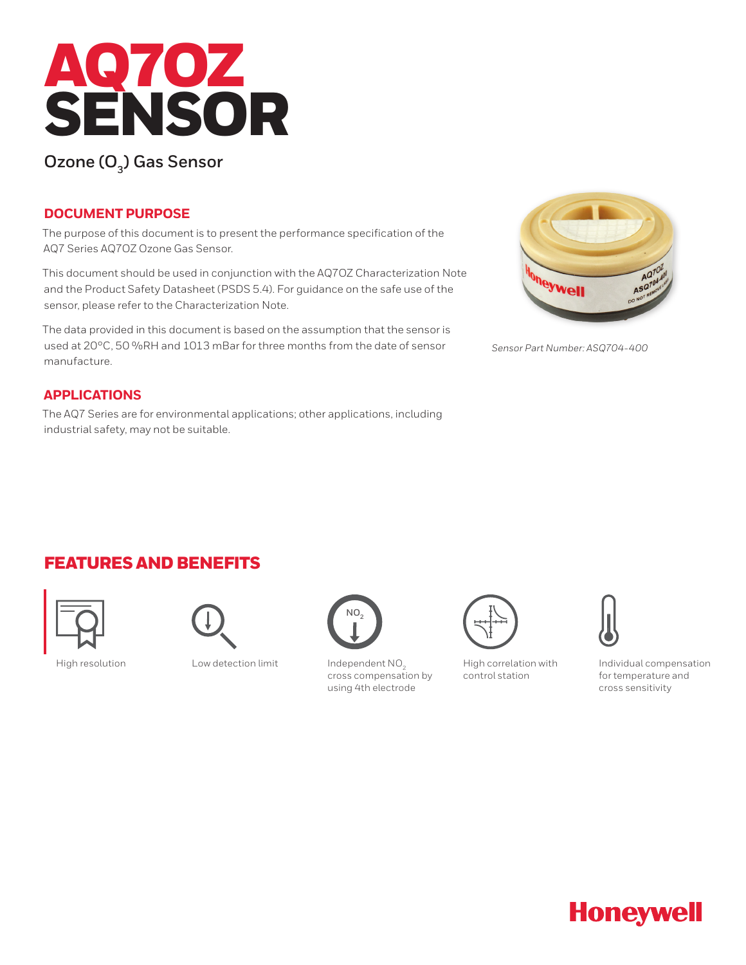

# **Ozone (O<sub>3</sub>) Gas Sensor**

### **DOCUMENT PURPOSE**

The purpose of this document is to present the performance specification of the AQ7 Series AQ7OZ Ozone Gas Sensor.

This document should be used in conjunction with the AQ7OZ Characterization Note and the Product Safety Datasheet (PSDS 5.4). For guidance on the safe use of the sensor, please refer to the Characterization Note.

The data provided in this document is based on the assumption that the sensor is used at 20°C, 50 %RH and 1013 mBar for three months from the date of sensor manufacture.

### **APPLICATIONS**

The AQ7 Series are for environmental applications; other applications, including industrial safety, may not be suitable.



*Sensor Part Number: ASQ704-400*

### FEATURES AND BENEFITS





High resolution Low detection limit Independent NO<sub>2</sub>



cross compensation by using 4th electrode



High correlation with control station



Individual compensation for temperature and cross sensitivity

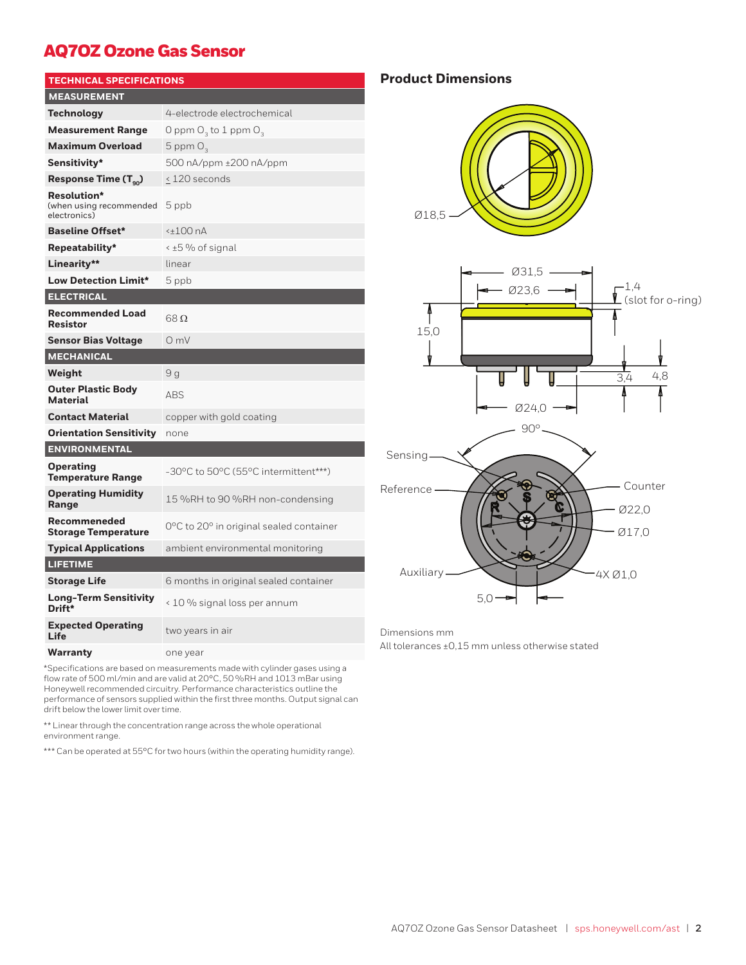# AQ7OZ Ozone Gas Sensor

| <b>TECHNICAL SPECIFICATIONS</b>                        |                                         |  |
|--------------------------------------------------------|-----------------------------------------|--|
| <b>MEASUREMENT</b>                                     |                                         |  |
| Technology                                             | 4-electrode electrochemical             |  |
| <b>Measurement Range</b>                               | O ppm $O_3$ to 1 ppm $O_3$              |  |
| <b>Maximum Overload</b>                                | 5 ppm $O2$                              |  |
| Sensitivity*                                           | 500 nA/ppm ±200 nA/ppm                  |  |
| Response Time $(T_{\alpha_0})$                         | $\leq$ 120 seconds                      |  |
| Resolution*<br>(when using recommended<br>electronics) | 5 ppb                                   |  |
| <b>Baseline Offset*</b>                                | <±100 nA                                |  |
| Repeatability*                                         | < ±5 % of signal                        |  |
| Linearity**                                            | linear                                  |  |
| <b>Low Detection Limit*</b>                            | 5 ppb                                   |  |
| <b>ELECTRICAL</b>                                      |                                         |  |
| <b>Recommended Load</b><br><b>Resistor</b>             | 68 $\Omega$                             |  |
| <b>Sensor Bias Voltage</b>                             | $O$ mV                                  |  |
| <b>MECHANICAL</b>                                      |                                         |  |
| Weight                                                 | 9 g                                     |  |
| <b>Outer Plastic Body</b><br><b>Material</b>           | ABS                                     |  |
| <b>Contact Material</b>                                | copper with gold coating                |  |
| <b>Orientation Sensitivity</b>                         | none                                    |  |
| <b>ENVIRONMENTAL</b>                                   |                                         |  |
| <b>Operating</b><br><b>Temperature Range</b>           | -30°C to 50°C (55°C intermittent***)    |  |
| <b>Operating Humidity</b><br>Range                     | 15 %RH to 90 %RH non-condensing         |  |
| Recommeneded<br><b>Storage Temperature</b>             | 0°C to 20° in original sealed container |  |
| <b>Typical Applications</b>                            | ambient environmental monitoring        |  |
| <b>LIFETIME</b>                                        |                                         |  |
| <b>Storage Life</b>                                    | 6 months in original sealed container   |  |
| Long-Term Sensitivity<br>Drift*                        | < 10 % signal loss per annum            |  |
| <b>Expected Operating</b><br>Life                      | two years in air                        |  |
| Warranty                                               | one year                                |  |

\*Specifications are based on measurements made with cylinder gases using a flow rate of 500 ml/min and are valid at 20°C, 50 %RH and 1013 mBar using Honeywell recommended circuitry. Performance characteristics outline the performance of sensors supplied within the first three months. Output signal can drift below the lower limit over time.

\*\* Linear through the concentration range across the whole operational environment range.

\*\*\* Can be operated at 55°C for two hours (within the operating humidity range).

**Product Dimensions**





Dimensions mm

All tolerances ±0,15 mm unless otherwise stated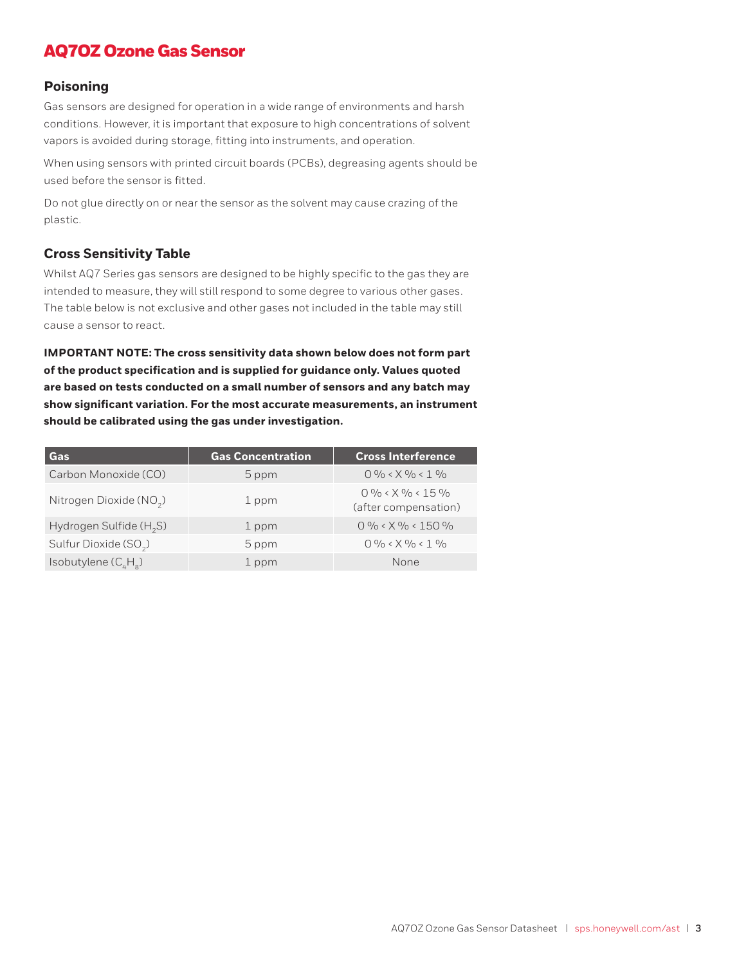# AQ7OZ Ozone Gas Sensor

#### **Poisoning**

Gas sensors are designed for operation in a wide range of environments and harsh conditions. However, it is important that exposure to high concentrations of solvent vapors is avoided during storage, fitting into instruments, and operation.

When using sensors with printed circuit boards (PCBs), degreasing agents should be used before the sensor is fitted.

Do not glue directly on or near the sensor as the solvent may cause crazing of the plastic.

#### **Cross Sensitivity Table**

Whilst AQ7 Series gas sensors are designed to be highly specific to the gas they are intended to measure, they will still respond to some degree to various other gases. The table below is not exclusive and other gases not included in the table may still cause a sensor to react.

**IMPORTANT NOTE: The cross sensitivity data shown below does not form part of the product specification and is supplied for guidance only. Values quoted are based on tests conducted on a small number of sensors and any batch may show significant variation. For the most accurate measurements, an instrument should be calibrated using the gas under investigation.** 

| Gas                                 | <b>Gas Concentration</b> | <b>Cross Interference</b>                  |
|-------------------------------------|--------------------------|--------------------------------------------|
| Carbon Monoxide (CO)                | 5 ppm                    | $0\% < X\% < 1\%$                          |
| Nitrogen Dioxide (NO <sub>2</sub> ) | 1 ppm                    | $0\% < X\% < 15\%$<br>(after compensation) |
| Hydrogen Sulfide $(H, S)$           | 1 ppm                    | $0\% < X\% < 150\%$                        |
| Sulfur Dioxide (SO <sub>2</sub> )   | 5 ppm                    | $0\% < X\% < 1\%$                          |
| Isobutylene $(C_{\mu}H_{\mu})$      | 1 ppm                    | None                                       |